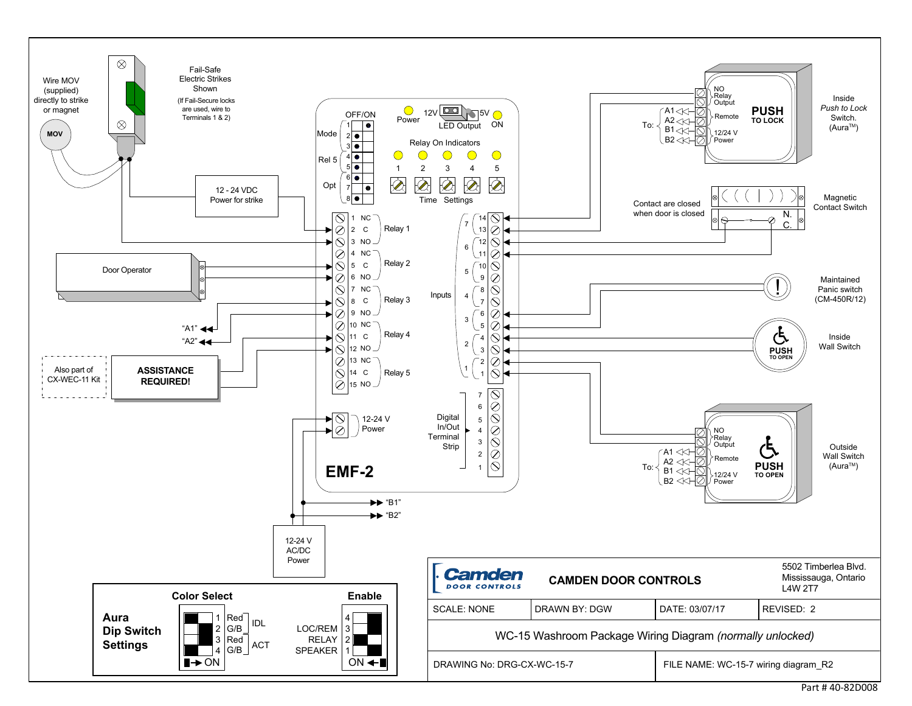